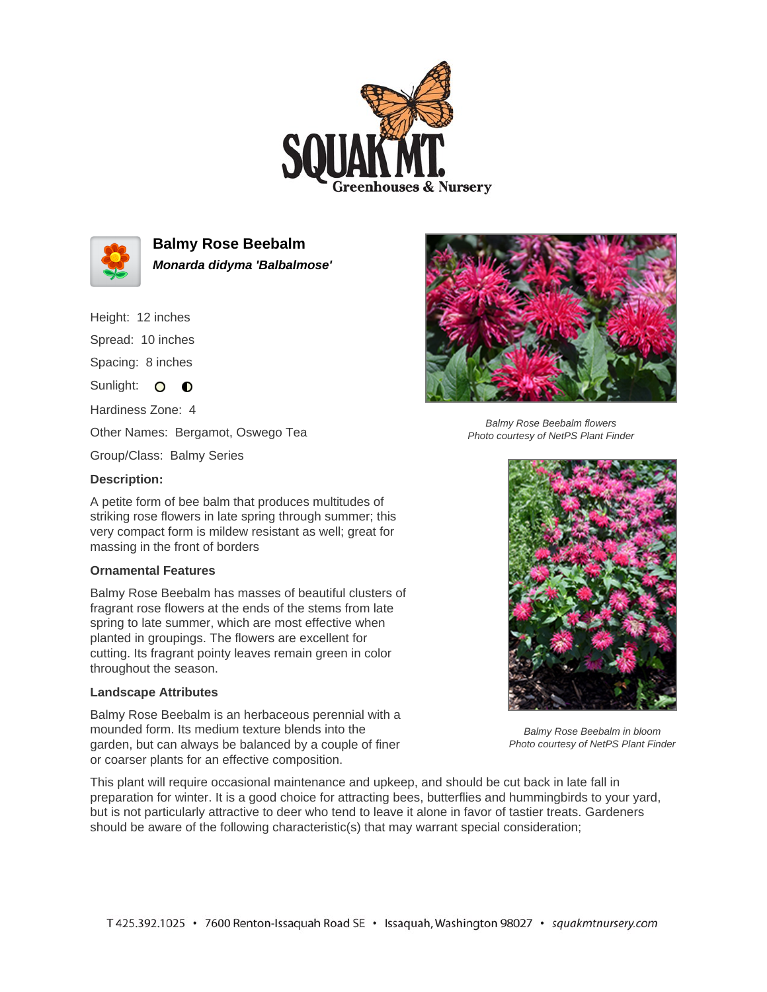



**Balmy Rose Beebalm Monarda didyma 'Balbalmose'**

Height: 12 inches

Spread: 10 inches

Spacing: 8 inches

Sunlight: O **O** 

Hardiness Zone: 4

Other Names: Bergamot, Oswego Tea

Group/Class: Balmy Series

## **Description:**

A petite form of bee balm that produces multitudes of striking rose flowers in late spring through summer; this very compact form is mildew resistant as well; great for massing in the front of borders

## **Ornamental Features**

Balmy Rose Beebalm has masses of beautiful clusters of fragrant rose flowers at the ends of the stems from late spring to late summer, which are most effective when planted in groupings. The flowers are excellent for cutting. Its fragrant pointy leaves remain green in color throughout the season.

## **Landscape Attributes**

Balmy Rose Beebalm is an herbaceous perennial with a mounded form. Its medium texture blends into the garden, but can always be balanced by a couple of finer or coarser plants for an effective composition.

This plant will require occasional maintenance and upkeep, and should be cut back in late fall in preparation for winter. It is a good choice for attracting bees, butterflies and hummingbirds to your yard, but is not particularly attractive to deer who tend to leave it alone in favor of tastier treats. Gardeners should be aware of the following characteristic(s) that may warrant special consideration;



Balmy Rose Beebalm flowers Photo courtesy of NetPS Plant Finder



Balmy Rose Beebalm in bloom Photo courtesy of NetPS Plant Finder